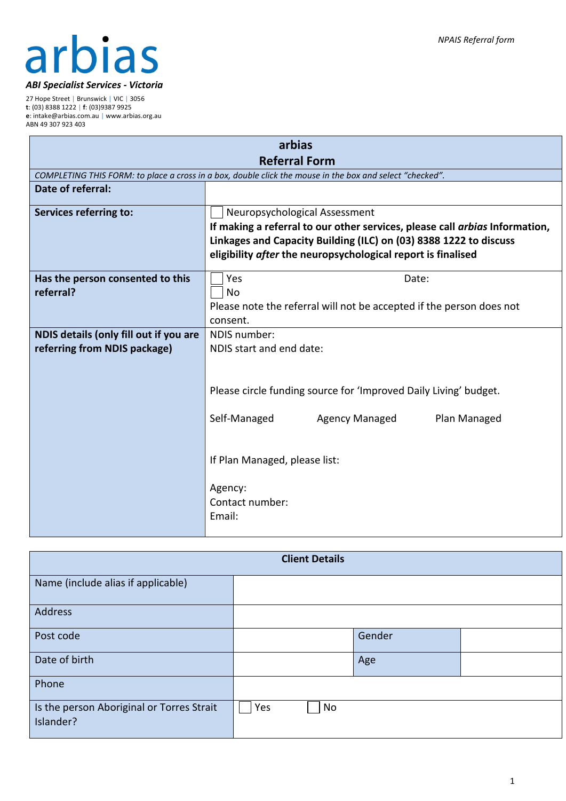# arbias *ABI Specialist Services - Victoria*

27 Hope Street | Brunswick | VIC | 3056 **t**: (03) 8388 1222 | **f**: (03)9387 9925 **e**: intake@arbias.com.au | www.arbias.org.au ABN 49 307 923 403

| arbias                                 |                                                                                                          |  |  |
|----------------------------------------|----------------------------------------------------------------------------------------------------------|--|--|
| <b>Referral Form</b>                   |                                                                                                          |  |  |
|                                        | COMPLETING THIS FORM: to place a cross in a box, double click the mouse in the box and select "checked". |  |  |
| Date of referral:                      |                                                                                                          |  |  |
| <b>Services referring to:</b>          | Neuropsychological Assessment                                                                            |  |  |
|                                        | If making a referral to our other services, please call arbias Information,                              |  |  |
|                                        | Linkages and Capacity Building (ILC) on (03) 8388 1222 to discuss                                        |  |  |
|                                        | eligibility after the neuropsychological report is finalised                                             |  |  |
| Has the person consented to this       | Yes<br>Date:                                                                                             |  |  |
| referral?                              | <b>No</b>                                                                                                |  |  |
|                                        | Please note the referral will not be accepted if the person does not                                     |  |  |
|                                        | consent.                                                                                                 |  |  |
| NDIS details (only fill out if you are | NDIS number:                                                                                             |  |  |
| referring from NDIS package)           | NDIS start and end date:                                                                                 |  |  |
|                                        |                                                                                                          |  |  |
|                                        |                                                                                                          |  |  |
|                                        | Please circle funding source for 'Improved Daily Living' budget.                                         |  |  |
|                                        |                                                                                                          |  |  |
|                                        | Self-Managed<br>Agency Managed<br>Plan Managed                                                           |  |  |
|                                        |                                                                                                          |  |  |
|                                        |                                                                                                          |  |  |
|                                        | If Plan Managed, please list:                                                                            |  |  |
|                                        | Agency:<br>Contact number:<br>Email:                                                                     |  |  |

| <b>Client Details</b>                                  |           |        |  |
|--------------------------------------------------------|-----------|--------|--|
| Name (include alias if applicable)                     |           |        |  |
| <b>Address</b>                                         |           |        |  |
| Post code                                              |           | Gender |  |
| Date of birth                                          |           | Age    |  |
| Phone                                                  |           |        |  |
| Is the person Aboriginal or Torres Strait<br>Islander? | Yes<br>No |        |  |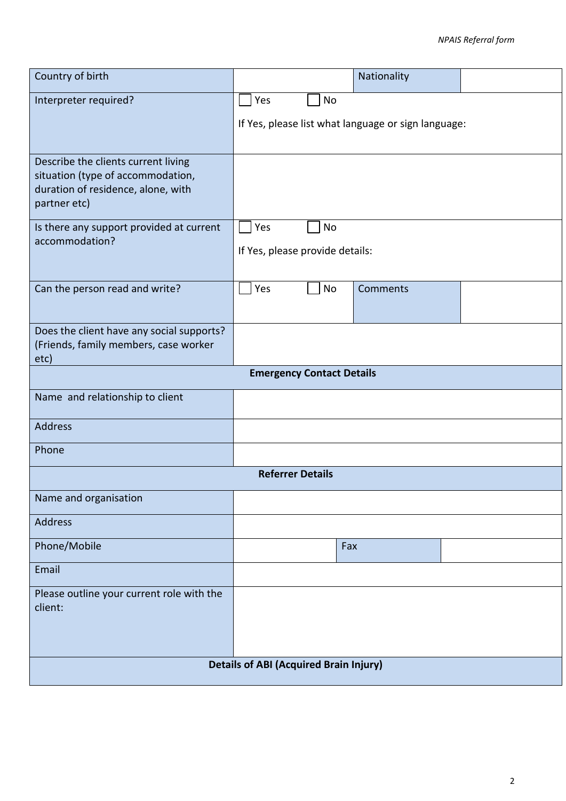| Country of birth                                                        |                                               |     | Nationality                                         |  |
|-------------------------------------------------------------------------|-----------------------------------------------|-----|-----------------------------------------------------|--|
| Interpreter required?                                                   | Yes                                           | No  |                                                     |  |
|                                                                         |                                               |     | If Yes, please list what language or sign language: |  |
| Describe the clients current living                                     |                                               |     |                                                     |  |
| situation (type of accommodation,<br>duration of residence, alone, with |                                               |     |                                                     |  |
| partner etc)                                                            |                                               |     |                                                     |  |
| Is there any support provided at current<br>accommodation?              | Yes                                           | No  |                                                     |  |
|                                                                         | If Yes, please provide details:               |     |                                                     |  |
| Can the person read and write?                                          | Yes                                           | No  | Comments                                            |  |
|                                                                         |                                               |     |                                                     |  |
| Does the client have any social supports?                               |                                               |     |                                                     |  |
| (Friends, family members, case worker<br>etc)                           |                                               |     |                                                     |  |
|                                                                         | <b>Emergency Contact Details</b>              |     |                                                     |  |
| Name and relationship to client                                         |                                               |     |                                                     |  |
| <b>Address</b>                                                          |                                               |     |                                                     |  |
| Phone                                                                   |                                               |     |                                                     |  |
|                                                                         | <b>Referrer Details</b>                       |     |                                                     |  |
| Name and organisation                                                   |                                               |     |                                                     |  |
| Address                                                                 |                                               |     |                                                     |  |
| Phone/Mobile                                                            |                                               | Fax |                                                     |  |
| Email                                                                   |                                               |     |                                                     |  |
| Please outline your current role with the<br>client:                    |                                               |     |                                                     |  |
|                                                                         |                                               |     |                                                     |  |
|                                                                         |                                               |     |                                                     |  |
|                                                                         | <b>Details of ABI (Acquired Brain Injury)</b> |     |                                                     |  |
|                                                                         |                                               |     |                                                     |  |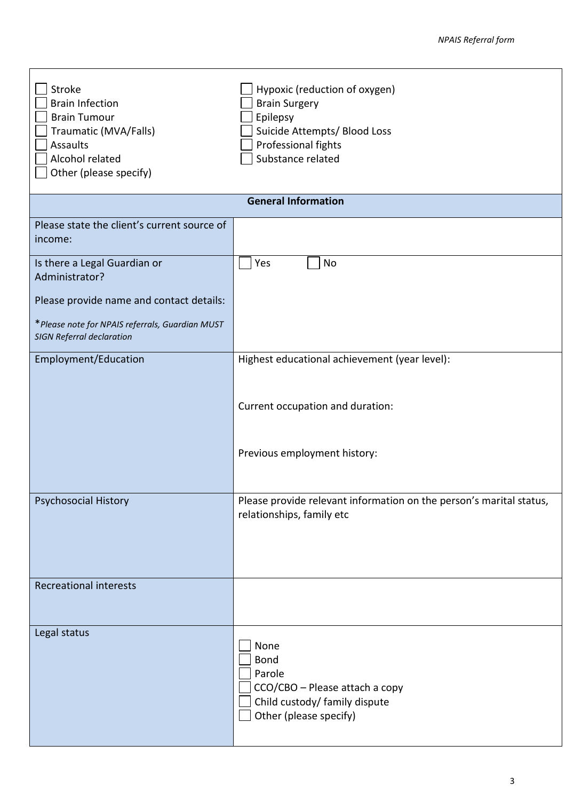| Stroke<br><b>Brain Infection</b><br><b>Brain Tumour</b><br>Traumatic (MVA/Falls)<br><b>Assaults</b><br>Alcohol related<br>Other (please specify) | Hypoxic (reduction of oxygen)<br><b>Brain Surgery</b><br>Epilepsy<br>Suicide Attempts/ Blood Loss<br>Professional fights<br>Substance related |
|--------------------------------------------------------------------------------------------------------------------------------------------------|-----------------------------------------------------------------------------------------------------------------------------------------------|
|                                                                                                                                                  | <b>General Information</b>                                                                                                                    |
| Please state the client's current source of<br>income:                                                                                           |                                                                                                                                               |
| Is there a Legal Guardian or<br>Administrator?                                                                                                   | Yes<br>No                                                                                                                                     |
| Please provide name and contact details:<br>*Please note for NPAIS referrals, Guardian MUST<br><b>SIGN Referral declaration</b>                  |                                                                                                                                               |
| Employment/Education                                                                                                                             | Highest educational achievement (year level):<br>Current occupation and duration:                                                             |
|                                                                                                                                                  | Previous employment history:                                                                                                                  |
| Psychosocial History                                                                                                                             | Please provide relevant information on the person's marital status,<br>relationships, family etc                                              |
| <b>Recreational interests</b>                                                                                                                    |                                                                                                                                               |
| Legal status                                                                                                                                     | None<br><b>Bond</b><br>Parole<br>CCO/CBO - Please attach a copy<br>Child custody/ family dispute<br>Other (please specify)                    |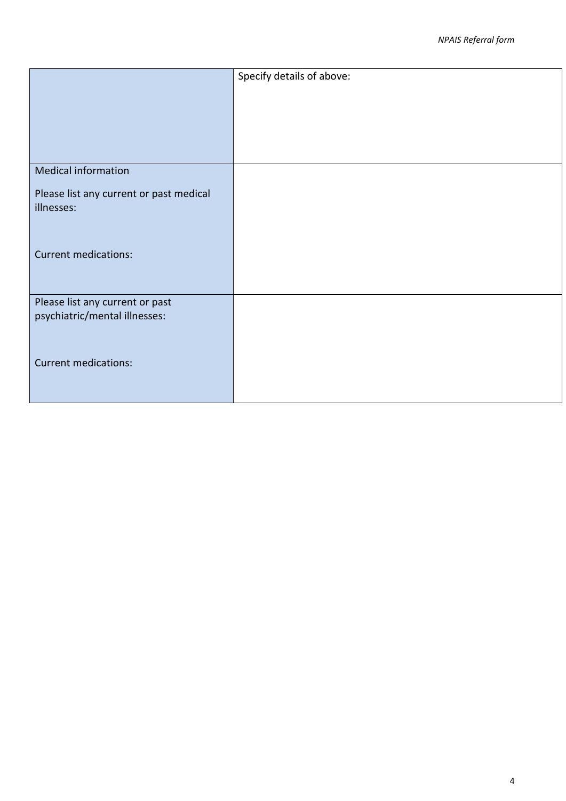|                                                       | Specify details of above: |
|-------------------------------------------------------|---------------------------|
|                                                       |                           |
|                                                       |                           |
|                                                       |                           |
|                                                       |                           |
| <b>Medical information</b>                            |                           |
|                                                       |                           |
| Please list any current or past medical<br>illnesses: |                           |
|                                                       |                           |
|                                                       |                           |
| <b>Current medications:</b>                           |                           |
|                                                       |                           |
|                                                       |                           |
| Please list any current or past                       |                           |
| psychiatric/mental illnesses:                         |                           |
|                                                       |                           |
| <b>Current medications:</b>                           |                           |
|                                                       |                           |
|                                                       |                           |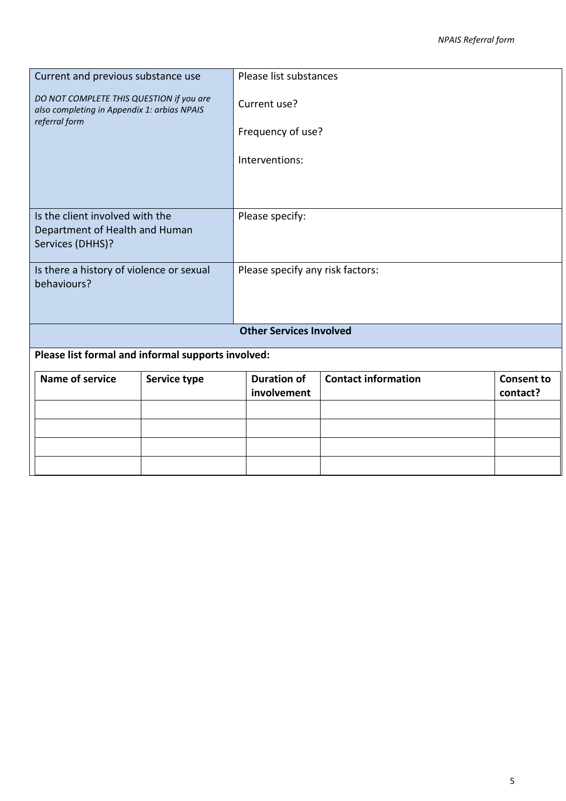| Current and previous substance use                                                      |              | Please list substances            |                            |                               |
|-----------------------------------------------------------------------------------------|--------------|-----------------------------------|----------------------------|-------------------------------|
| DO NOT COMPLETE THIS QUESTION if you are<br>also completing in Appendix 1: arbias NPAIS |              | Current use?                      |                            |                               |
| referral form                                                                           |              | Frequency of use?                 |                            |                               |
|                                                                                         |              | Interventions:                    |                            |                               |
|                                                                                         |              |                                   |                            |                               |
| Is the client involved with the                                                         |              | Please specify:                   |                            |                               |
| Department of Health and Human<br>Services (DHHS)?                                      |              |                                   |                            |                               |
|                                                                                         |              |                                   |                            |                               |
| Is there a history of violence or sexual<br>behaviours?                                 |              | Please specify any risk factors:  |                            |                               |
|                                                                                         |              | <b>Other Services Involved</b>    |                            |                               |
| Please list formal and informal supports involved:                                      |              |                                   |                            |                               |
| <b>Name of service</b>                                                                  | Service type | <b>Duration of</b><br>involvement | <b>Contact information</b> | <b>Consent to</b><br>contact? |
|                                                                                         |              |                                   |                            |                               |
|                                                                                         |              |                                   |                            |                               |
|                                                                                         |              |                                   |                            |                               |
|                                                                                         |              |                                   |                            |                               |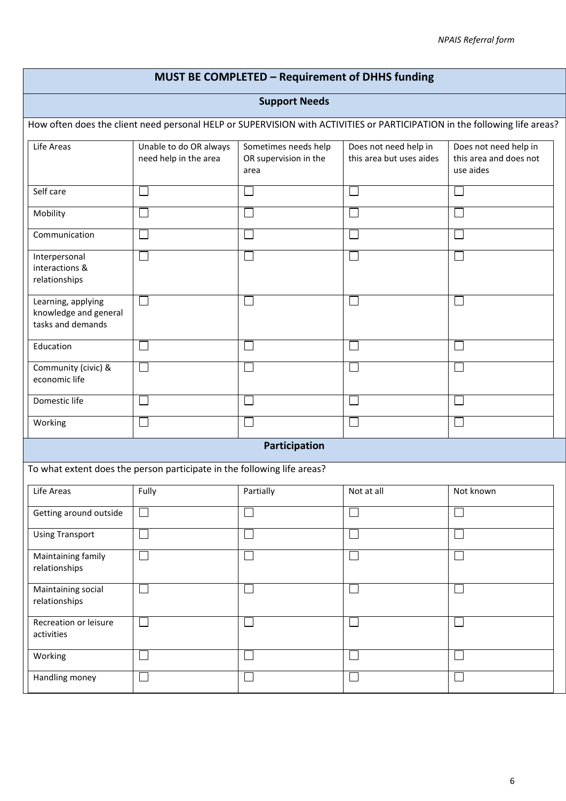## **MUST BE COMPLETED – Requirement of DHHS funding**

#### **Support Needs**

How often does the client need personal HELP or SUPERVISION with ACTIVITIES or PARTICIPATION in the following life areas?

| Life Areas                                                       | Unable to do OR always<br>need help in the area | Sometimes needs help<br>OR supervision in the<br>area | Does not need help in<br>this area but uses aides | Does not need help in<br>this area and does not<br>use aides |
|------------------------------------------------------------------|-------------------------------------------------|-------------------------------------------------------|---------------------------------------------------|--------------------------------------------------------------|
| Self care                                                        |                                                 |                                                       |                                                   |                                                              |
| Mobility                                                         |                                                 |                                                       |                                                   |                                                              |
| Communication                                                    |                                                 |                                                       |                                                   |                                                              |
| Interpersonal<br>interactions &<br>relationships                 |                                                 |                                                       |                                                   |                                                              |
| Learning, applying<br>knowledge and general<br>tasks and demands |                                                 |                                                       |                                                   |                                                              |
| Education                                                        |                                                 |                                                       |                                                   |                                                              |
| Community (civic) &<br>economic life                             |                                                 |                                                       |                                                   |                                                              |
| Domestic life                                                    |                                                 |                                                       |                                                   |                                                              |
| Working                                                          |                                                 |                                                       |                                                   |                                                              |

#### **Participation**

To what extent does the person participate in the following life areas?

| Life Areas                          | Fully | Partially | Not at all | Not known |
|-------------------------------------|-------|-----------|------------|-----------|
| Getting around outside              |       |           |            |           |
| <b>Using Transport</b>              |       |           |            |           |
| Maintaining family<br>relationships |       |           |            |           |
| Maintaining social<br>relationships |       |           |            |           |
| Recreation or leisure<br>activities |       |           |            |           |
| Working                             |       |           |            |           |
| Handling money                      |       |           |            |           |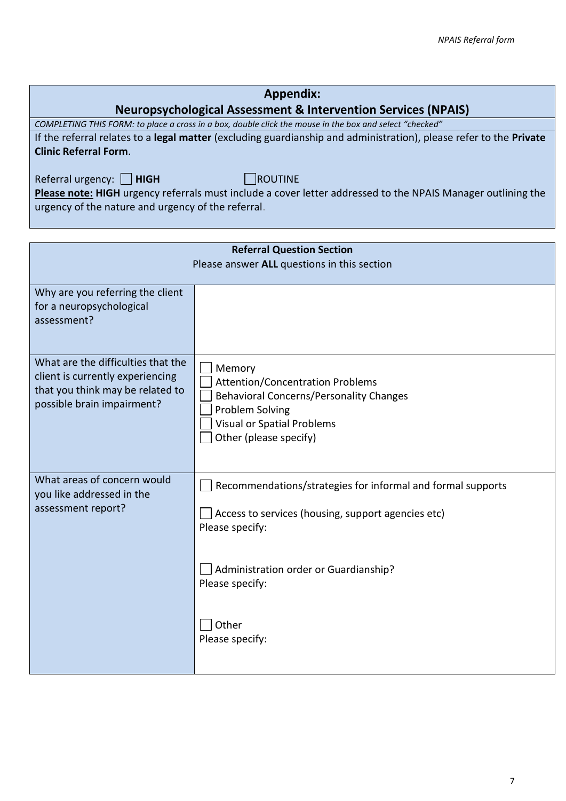# **Appendix:**

## **Neuropsychological Assessment & Intervention Services (NPAIS)**

*COMPLETING THIS FORM: to place a cross in a box, double click the mouse in the box and select "checked"* If the referral relates to a **legal matter** (excluding guardianship and administration), please refer to the **Private Clinic Referral Form**.

Referral urgency: **HIGH** ROUTINE

**Please note: HIGH** urgency referrals must include a cover letter addressed to the NPAIS Manager outlining the urgency of the nature and urgency of the referral.

| <b>Referral Question Section</b><br>Please answer ALL questions in this section                                                          |                                                                                                                                                                                                                              |  |
|------------------------------------------------------------------------------------------------------------------------------------------|------------------------------------------------------------------------------------------------------------------------------------------------------------------------------------------------------------------------------|--|
| Why are you referring the client<br>for a neuropsychological<br>assessment?                                                              |                                                                                                                                                                                                                              |  |
| What are the difficulties that the<br>client is currently experiencing<br>that you think may be related to<br>possible brain impairment? | Memory<br><b>Attention/Concentration Problems</b><br><b>Behavioral Concerns/Personality Changes</b><br>Problem Solving<br><b>Visual or Spatial Problems</b><br>Other (please specify)                                        |  |
| What areas of concern would<br>you like addressed in the<br>assessment report?                                                           | Recommendations/strategies for informal and formal supports<br>Access to services (housing, support agencies etc)<br>Please specify:<br>Administration order or Guardianship?<br>Please specify:<br>Other<br>Please specify: |  |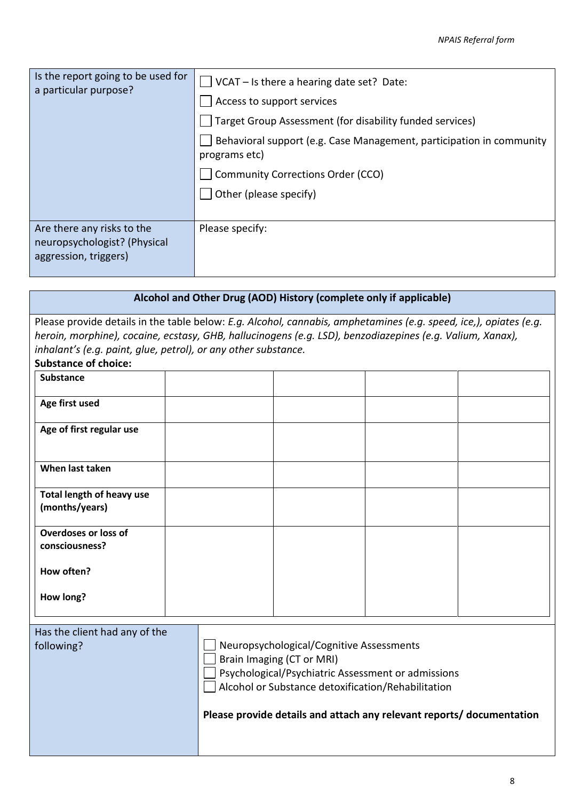| Is the report going to be used for<br>a particular purpose?                         | $\sqrt{\text{VCAT} - \text{Is there a hearing date set? Date}}$<br>Access to support services<br>Target Group Assessment (for disability funded services)<br>Behavioral support (e.g. Case Management, participation in community<br>programs etc)<br><b>Community Corrections Order (CCO)</b><br>Other (please specify) |
|-------------------------------------------------------------------------------------|--------------------------------------------------------------------------------------------------------------------------------------------------------------------------------------------------------------------------------------------------------------------------------------------------------------------------|
| Are there any risks to the<br>neuropsychologist? (Physical<br>aggression, triggers) | Please specify:                                                                                                                                                                                                                                                                                                          |

|                                                                                                                                                                                                                                                                                                                                 | Alcohol and Other Drug (AOD) History (complete only if applicable)                                                                                                                                                                                         |  |  |  |
|---------------------------------------------------------------------------------------------------------------------------------------------------------------------------------------------------------------------------------------------------------------------------------------------------------------------------------|------------------------------------------------------------------------------------------------------------------------------------------------------------------------------------------------------------------------------------------------------------|--|--|--|
| Please provide details in the table below: E.g. Alcohol, cannabis, amphetamines (e.g. speed, ice,), opiates (e.g.<br>heroin, morphine), cocaine, ecstasy, GHB, hallucinogens (e.g. LSD), benzodiazepines (e.g. Valium, Xanax),<br>inhalant's (e.g. paint, glue, petrol), or any other substance.<br><b>Substance of choice:</b> |                                                                                                                                                                                                                                                            |  |  |  |
| <b>Substance</b>                                                                                                                                                                                                                                                                                                                |                                                                                                                                                                                                                                                            |  |  |  |
| Age first used                                                                                                                                                                                                                                                                                                                  |                                                                                                                                                                                                                                                            |  |  |  |
| Age of first regular use                                                                                                                                                                                                                                                                                                        |                                                                                                                                                                                                                                                            |  |  |  |
| When last taken                                                                                                                                                                                                                                                                                                                 |                                                                                                                                                                                                                                                            |  |  |  |
| Total length of heavy use<br>(months/years)                                                                                                                                                                                                                                                                                     |                                                                                                                                                                                                                                                            |  |  |  |
| <b>Overdoses or loss of</b><br>consciousness?                                                                                                                                                                                                                                                                                   |                                                                                                                                                                                                                                                            |  |  |  |
| How often?                                                                                                                                                                                                                                                                                                                      |                                                                                                                                                                                                                                                            |  |  |  |
| How long?                                                                                                                                                                                                                                                                                                                       |                                                                                                                                                                                                                                                            |  |  |  |
| Has the client had any of the<br>following?                                                                                                                                                                                                                                                                                     | Neuropsychological/Cognitive Assessments<br>Brain Imaging (CT or MRI)<br>Psychological/Psychiatric Assessment or admissions<br>Alcohol or Substance detoxification/Rehabilitation<br>Please provide details and attach any relevant reports/ documentation |  |  |  |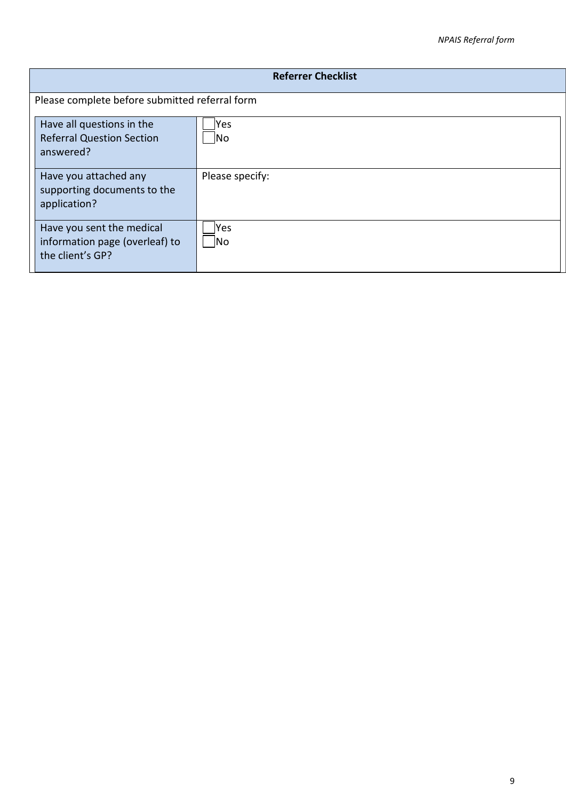| <b>Referrer Checklist</b>                                                       |                   |  |
|---------------------------------------------------------------------------------|-------------------|--|
| Please complete before submitted referral form                                  |                   |  |
| Have all questions in the<br><b>Referral Question Section</b><br>answered?      | lYes<br><b>No</b> |  |
| Have you attached any<br>supporting documents to the<br>application?            | Please specify:   |  |
| Have you sent the medical<br>information page (overleaf) to<br>the client's GP? | Yes<br><b>No</b>  |  |